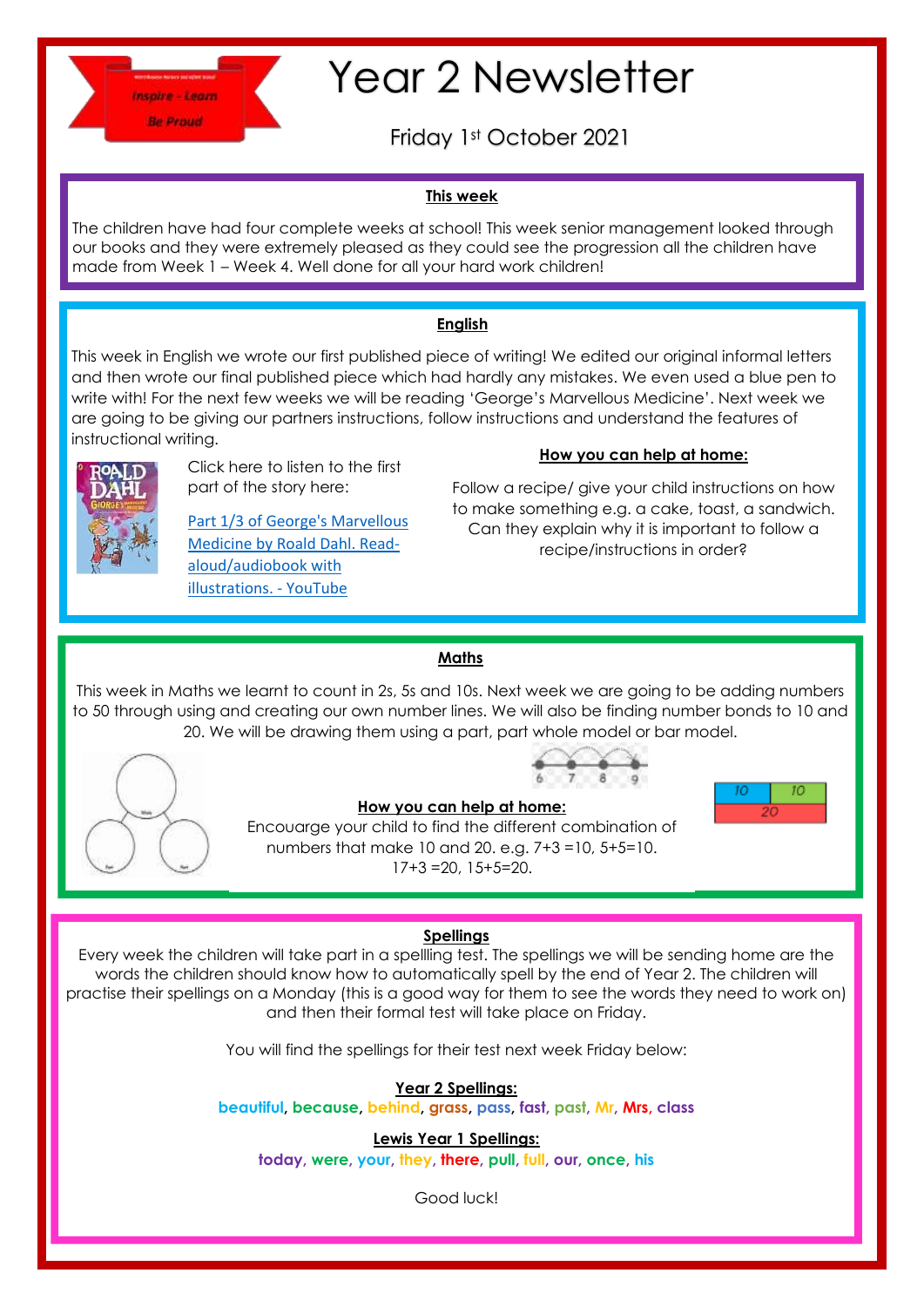

# Year 2 Newsletter

Friday 1st October 2021

### **This week**

The children have had four complete weeks at school! This week senior management looked through our books and they were extremely pleased as they could see the progression all the children have made from Week 1 – Week 4. Well done for all your hard work children!

#### **English**

This week in English we wrote our first published piece of writing! We edited our original informal letters and then wrote our final published piece which had hardly any mistakes. We even used a blue pen to write with! For the next few weeks we will be reading 'George's Marvellous Medicine'. Next week we are going to be giving our partners instructions, follow instructions and understand the features of instructional writing.



Click here to listen to the first part of the story here:

[Part 1/3 of George's Marvellous](https://www.youtube.com/watch?v=sTwggQjRKCE)  [Medicine by Roald Dahl. Read](https://www.youtube.com/watch?v=sTwggQjRKCE)[aloud/audiobook with](https://www.youtube.com/watch?v=sTwggQjRKCE)  [illustrations. -](https://www.youtube.com/watch?v=sTwggQjRKCE) YouTube

#### **How you can help at home:**

Follow a recipe/ give your child instructions on how to make something e.g. a cake, toast, a sandwich. Can they explain why it is important to follow a recipe/instructions in order?

#### **Maths**

This week in Maths we learnt to count in 2s, 5s and 10s. Next week we are going to be adding numbers to 50 through using and creating our own number lines. We will also be finding number bonds to 10 and 20. We will be drawing them using a part, part whole model or bar model.





**How you can help at home:** Encouarge your child to find the different combination of numbers that make 10 and 20. e.g. 7+3 =10, 5+5=10. 17+3 =20, 15+5=20.

#### **Spellings**

Every week the children will take part in a spellling test. The spellings we will be sending home are the words the children should know how to automatically spell by the end of Year 2. The children will practise their spellings on a Monday (this is a good way for them to see the words they need to work on) and then their formal test will take place on Friday.

You will find the spellings for their test next week Friday below:

**Year 2 Spellings:** 

**beautiful, because, behind, grass, pass, fast, past, Mr, Mrs, class**

**Lewis Year 1 Spellings: today, were, your, they, there, pull, full, our, once, his**

Good luck!